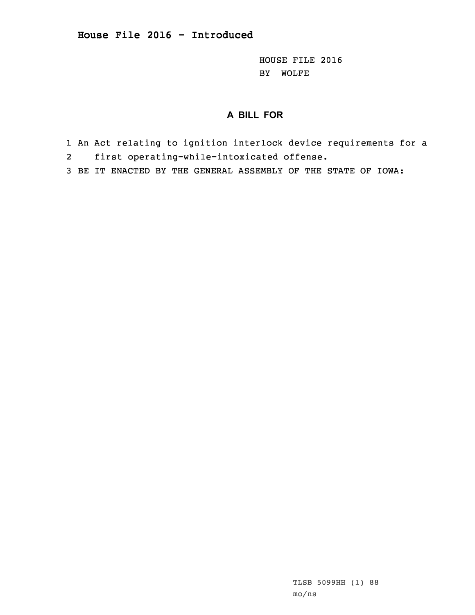HOUSE FILE 2016 BY WOLFE

## **A BILL FOR**

- 1 An Act relating to ignition interlock device requirements for <sup>a</sup>
- 2first operating-while-intoxicated offense.
- 3 BE IT ENACTED BY THE GENERAL ASSEMBLY OF THE STATE OF IOWA: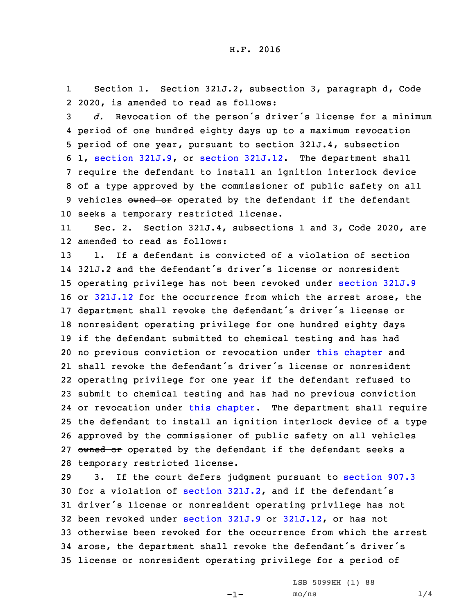1 Section 1. Section 321J.2, subsection 3, paragraph d, Code 2 2020, is amended to read as follows:

 *d.* Revocation of the person's driver's license for <sup>a</sup> minimum period of one hundred eighty days up to <sup>a</sup> maximum revocation period of one year, pursuant to section 321J.4, subsection 1, section [321J.9](https://www.legis.iowa.gov/docs/code/2020/321J.9.pdf), or section [321J.12](https://www.legis.iowa.gov/docs/code/2020/321J.12.pdf). The department shall require the defendant to install an ignition interlock device of <sup>a</sup> type approved by the commissioner of public safety on all 9 vehicles owned or operated by the defendant if the defendant seeks <sup>a</sup> temporary restricted license.

11 Sec. 2. Section 321J.4, subsections 1 and 3, Code 2020, are 12 amended to read as follows:

 1. If <sup>a</sup> defendant is convicted of <sup>a</sup> violation of section 321J.2 and the defendant's driver's license or nonresident operating privilege has not been revoked under [section](https://www.legis.iowa.gov/docs/code/2020/321J.9.pdf) 321J.9 or [321J.12](https://www.legis.iowa.gov/docs/code/2020/321J.12.pdf) for the occurrence from which the arrest arose, the department shall revoke the defendant's driver's license or nonresident operating privilege for one hundred eighty days if the defendant submitted to chemical testing and has had no previous conviction or revocation under this [chapter](https://www.legis.iowa.gov/docs/code/2020/321J.pdf) and shall revoke the defendant's driver's license or nonresident operating privilege for one year if the defendant refused to submit to chemical testing and has had no previous conviction or revocation under this [chapter](https://www.legis.iowa.gov/docs/code/2020/321J.pdf). The department shall require the defendant to install an ignition interlock device of <sup>a</sup> type approved by the commissioner of public safety on all vehicles 27 owned or operated by the defendant if the defendant seeks a temporary restricted license.

 3. If the court defers judgment pursuant to [section](https://www.legis.iowa.gov/docs/code/2020/907.3.pdf) 907.3 for <sup>a</sup> violation of [section](https://www.legis.iowa.gov/docs/code/2020/321J.2.pdf) 321J.2, and if the defendant's driver's license or nonresident operating privilege has not been revoked under [section](https://www.legis.iowa.gov/docs/code/2020/321J.9.pdf) 321J.9 or [321J.12](https://www.legis.iowa.gov/docs/code/2020/321J.12.pdf), or has not otherwise been revoked for the occurrence from which the arrest arose, the department shall revoke the defendant's driver's license or nonresident operating privilege for <sup>a</sup> period of

-1-

LSB 5099HH (1) 88  $mO/ns$  1/4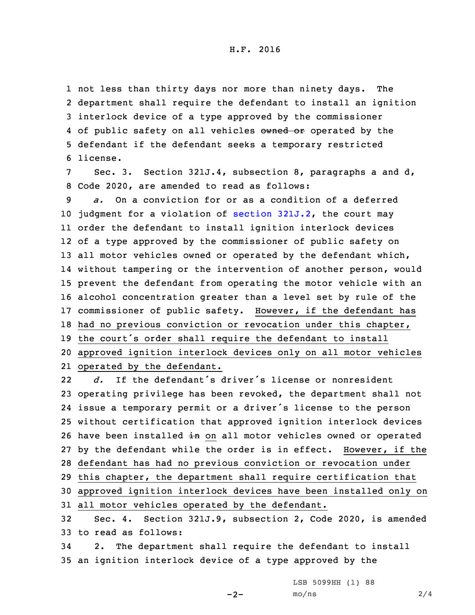not less than thirty days nor more than ninety days. The department shall require the defendant to install an ignition interlock device of <sup>a</sup> type approved by the commissioner 4 of public safety on all vehicles owned or operated by the defendant if the defendant seeks <sup>a</sup> temporary restricted 6 license.

7 Sec. 3. Section 321J.4, subsection 8, paragraphs <sup>a</sup> and d, 8 Code 2020, are amended to read as follows:

 *a.* On <sup>a</sup> conviction for or as <sup>a</sup> condition of <sup>a</sup> deferred judgment for <sup>a</sup> violation of section [321J.2](https://www.legis.iowa.gov/docs/code/2020/321J.2.pdf), the court may order the defendant to install ignition interlock devices of <sup>a</sup> type approved by the commissioner of public safety on 13 all motor vehicles owned or operated by the defendant which, without tampering or the intervention of another person, would prevent the defendant from operating the motor vehicle with an alcohol concentration greater than <sup>a</sup> level set by rule of the commissioner of public safety. However, if the defendant has had no previous conviction or revocation under this chapter, the court's order shall require the defendant to install approved ignition interlock devices only on all motor vehicles operated by the defendant.

22 *d.* If the defendant's driver's license or nonresident operating privilege has been revoked, the department shall not issue <sup>a</sup> temporary permit or <sup>a</sup> driver's license to the person without certification that approved ignition interlock devices 26 have been installed in on all motor vehicles owned or operated by the defendant while the order is in effect. However, if the defendant has had no previous conviction or revocation under this chapter, the department shall require certification that approved ignition interlock devices have been installed only on all motor vehicles operated by the defendant. Sec. 4. Section 321J.9, subsection 2, Code 2020, is amended to read as follows:

34 2. The department shall require the defendant to install 35 an ignition interlock device of <sup>a</sup> type approved by the

LSB 5099HH (1) 88

 $-2-$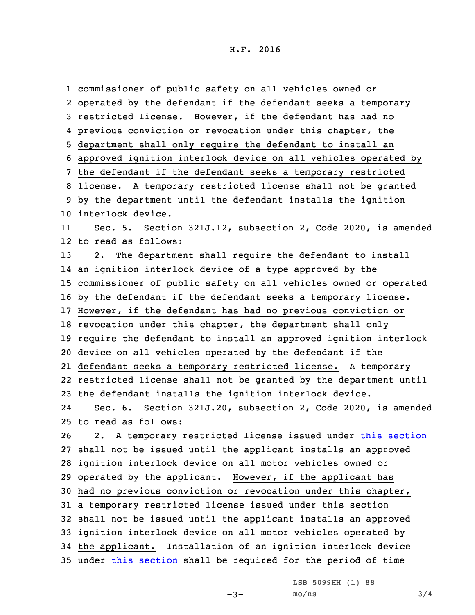commissioner of public safety on all vehicles owned or operated by the defendant if the defendant seeks <sup>a</sup> temporary restricted license. However, if the defendant has had no previous conviction or revocation under this chapter, the department shall only require the defendant to install an approved ignition interlock device on all vehicles operated by the defendant if the defendant seeks <sup>a</sup> temporary restricted license. <sup>A</sup> temporary restricted license shall not be granted by the department until the defendant installs the ignition interlock device. 11 Sec. 5. Section 321J.12, subsection 2, Code 2020, is amended to read as follows: 2. The department shall require the defendant to install an ignition interlock device of <sup>a</sup> type approved by the commissioner of public safety on all vehicles owned or operated by the defendant if the defendant seeks <sup>a</sup> temporary license. However, if the defendant has had no previous conviction or revocation under this chapter, the department shall only require the defendant to install an approved ignition interlock device on all vehicles operated by the defendant if the defendant seeks <sup>a</sup> temporary restricted license. <sup>A</sup> temporary restricted license shall not be granted by the department until the defendant installs the ignition interlock device. 24 Sec. 6. Section 321J.20, subsection 2, Code 2020, is amended to read as follows: 2. <sup>A</sup> temporary restricted license issued under this [section](https://www.legis.iowa.gov/docs/code/2020/321J.20.pdf) shall not be issued until the applicant installs an approved ignition interlock device on all motor vehicles owned or operated by the applicant. However, if the applicant has had no previous conviction or revocation under this chapter, <sup>a</sup> temporary restricted license issued under this section shall not be issued until the applicant installs an approved ignition interlock device on all motor vehicles operated by the applicant. Installation of an ignition interlock device under this [section](https://www.legis.iowa.gov/docs/code/2020/321J.20.pdf) shall be required for the period of time

LSB 5099HH (1) 88

 $-3-$